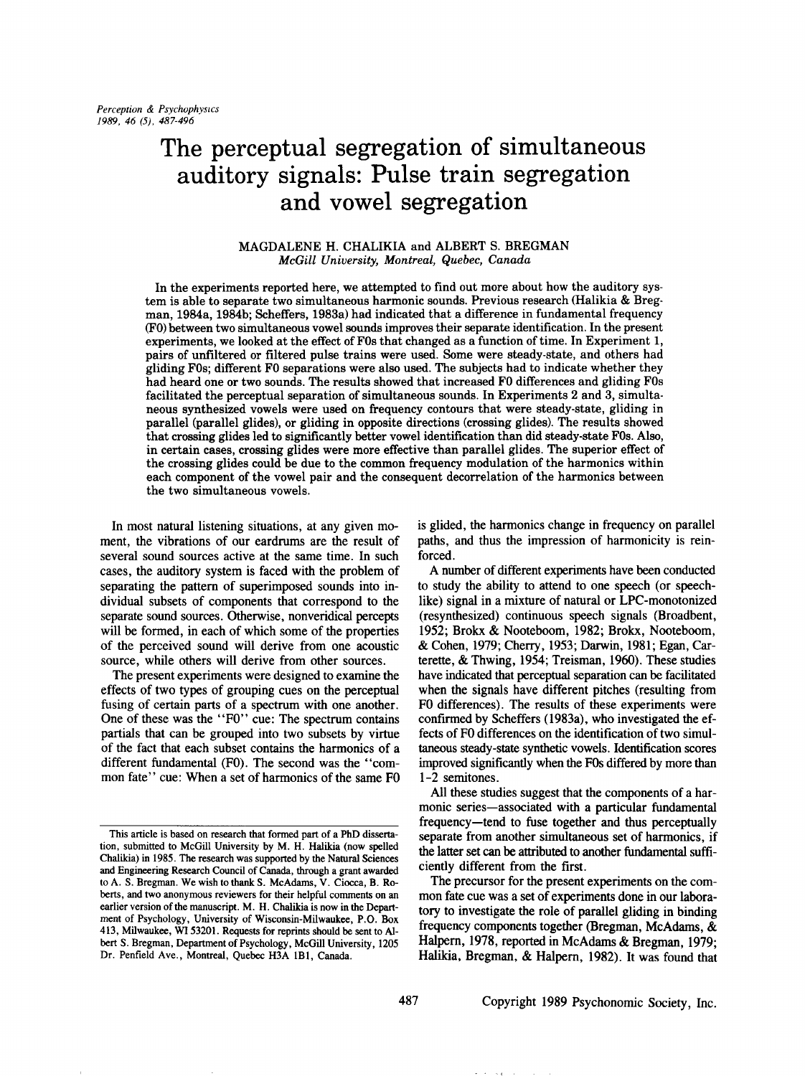# **The perceptual segregation of simultaneous auditory signals: Pulse train segregation and vowel segregation**

# MAGDALENE H. CHALIKIA and ALBERT S. BREGMAN *McGill University, Montreal, Quebec, Canada*

In the experiments reported here, we attempted to find out more about how the auditory system is able to separate two simultaneous harmonic sounds. Previous research (Halikia & Bregman, 1984a, 1984b; Scheffers, 1983a) had indicated that a difference in fundamental frequency (F0) between two simultaneous vowel sounds improves their separate identification. In the present experiments, we looked at the effect of F0s that changed as a function of time. In Experiment 1, pairs of unfiltered or filtered pulse trains were used. Some were steady-state, and others had gliding F0s; different F0 separations were also used. The subjects had to indicate whether they had heard one or two sounds. The results showed that increased F0 differences and gliding F0s facilitated the perceptual separation of simultaneous sounds. In Experiments 2 and 3, simultaneous synthesized vowels were used on frequency contours that were steady-state, gliding in parallel (parallel glides), or gliding in opposite directions (crossing glides). The results showed that crossing glides led to significantly better vowel identification than did steady-state F0s. Also, in certain cases, crossing glides were more effective than parallel glides. The superior effect of the crossing glides could be due to the common frequency modulation of the harmonics within each component of the vowel pair and the consequent decorrelation of the harmonics between the two simultaneous vowels.

In most natural listening situations, at any given moment, the vibrations of our eardrums are the result of several sound sources active at the same time. In such cases, the auditory system is faced with the problem of separating the pattern of superimposed sounds into individual subsets of components that correspond to the separate sound sources. Otherwise, nonveridical percepts will be formed, in each of which some of the properties of the perceived sound will derive from one acoustic source, while others will derive from other sources.

The present experiments were designed to examine the effects of two types of grouping cues on the perceptual fusing of certain parts of a spectrum with one another. One of these was the "F0" cue: The spectrum contains partials that can be grouped into two subsets by virtue of the fact that each subset contains the harmonics of a different fundamental (F0). The second was the "common fate" cue: When a set of harmonics of the same F0

is glided, the harmonics change in frequency on parallel paths, and thus the impression of harmonicity is reinforced.

A number of different experiments have been conducted to study the ability to attend to one speech (or speechlike) signal in a mixture of natural or LPC-monotonized (resynthesized) continuous speech signals (Broadbent, 1952; Brokx & Nooteboom, 1982; Brokx, Nooteboom, & Cohen, 1979; Cherry, 1953; Darwin, 1981; Egan, Carterette, & Thwing, 1954; Treisman, 1960). These studies have indicated that perceptual separation can be facilitated when the signals have different pitches (resulting from F0 differences). The results of these experiments were confirmed by Scheffers (1983a), who investigated the effects of F0 differences on the identification of two simultaneous steady-state synthetic vowels. Identification scores improved significantly when the F0s differed by more than 1-2 semitones.

All these studies suggest that the components of a harmonic series-associated with a particular fundamental frequency--tend to fuse together and thus perceptually separate from another simultaneous set of harmonics, if the latter set can be attributed to another fundamental sufficiently different from the first.

The precursor for the present experiments on the common fate cue was a set of experiments done in our laboratory to investigate the role of parallel gliding in binding frequency components together (Bregman, McAdams, & Halpern, 1978, reported in McAdams & Bregman, 1979; Halikia, Bregman, & Halpern, 1982). It was found that

**Security** 

This article is based on research that formed part of a PhD dissertation, submitted to McGill University by M. H. Halikia (now spelled Chalikia) in 1985. The research was supported by the Natural Sciences and Engineering Research Council of Canada, through a grant awarded to A. S. Bregman. We wish to thank S. McAdams, V. Ciocca, B. Roberts, and two anonymous reviewers for their helpful comments on an earlier version of the manuscript. M. H. Chalikia is now in the Department of Psychology, University of Wisconsin-Milwaukee, P.O. Box 413, Milwaukee, W153201. Requests for reprints should be sent to Albert S. Bregman, Department of Psychology, McGill University, 1205 Dr. Penfield Ave., Montreal, Quebec H3A 1B1, Canada.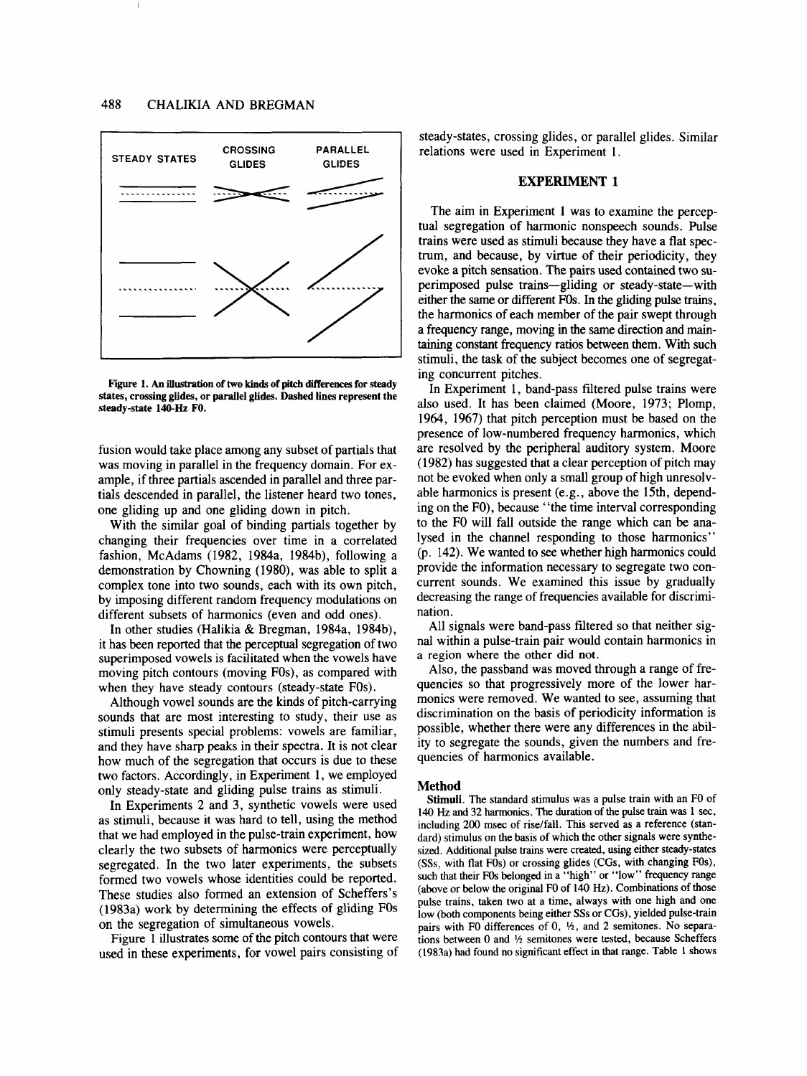

Figure 1. An illustration of two kinds of **pitch differences for steady** states, crossing glides, or parallel glides. Dashed **fines represent the** steady-state 140-Hz FO.

fusion would take place among any subset of partials that was moving in parallel in the frequency domain. For example, if three partials ascended in parallel and three partials descended in parallel, the listener heard two tones, one gliding up and one gliding down in pitch.

With the similar goal of binding partials together by changing their frequencies over time in a correlated fashion, McAdams (1982, 1984a, 1984b), following a demonstration by Chowning (1980), was able to split a complex tone into two sounds, each with its own pitch, by imposing different random frequency modulations on different subsets of harmonics (even and odd ones).

In other studies (Halikia & Bregman, 1984a, 1984b), it has been reported that the perceptual segregation of two superimposed vowels is facilitated when the vowels have moving pitch contours (moving F0s), as compared with when they have steady contours (steady-state F0s).

Although vowel sounds are the kinds of pitch-carrying sounds that are most interesting to study, their use as stimuli presents special problems: vowels are familiar, and they have sharp peaks in their spectra. It is not clear how much of the segregation that occurs is due to these two factors. Accordingly, in Experiment 1, we employed only steady-state and gliding pulse trains as stimuli.

In Experiments 2 and 3, synthetic vowels were used as stimuli, because it was hard to tell, using the method that we had employed in the pulse-train experiment, how clearly the two subsets of harmonics were perceptually segregated. In the two later experiments, the subsets formed two vowels whose identities could be reported. These studies also formed an extension of Scheffers's (1983a) work by determining the effects of gliding F0s on the segregation of simultaneous vowels.

Figure 1 illustrates some of the pitch contours that were used in these experiments, for vowel pairs consisting of steady-states, crossing glides, or parallel glides. Similar relations were used in Experiment 1.

# EXPERIMENT 1

The aim in Experiment 1 was to examine the perceptual segregation of harmonic nonspeech sounds. Pulse trains were used as stimuli because they have a fiat spectrum, and because, by virtue of their periodicity, they evoke a pitch sensation. The pairs used contained two superimposed pulse trains--gliding or steady-state--with either the same or different F0s. In the gliding pulse trains, the harmonics of each member of the pair swept through a frequency range, moving in the same direction and maintaining constant frequency ratios between them. With such stimuli, the task of the subject becomes one of segregating concurrent pitches.

In Experiment 1, band-pass filtered pulse trains were also used. It has been claimed (Moore, 1973; Plomp, 1964, 1967) that pitch perception must be based on the presence of low-numbered frequency harmonics, which are resolved by the peripheral auditory system. Moore (1982) has suggested that a clear perception of pitch may not be evoked when only a small group of high unresolvable harmonics is present (e.g., above the 15th, depending on the F0), because "the time interval corresponding to the F0 will fall outside the range which can be analysed in the channel responding to those harmonics" (p. 142). We wanted to see whether high harmonics could provide the information necessary to segregate two concurrent sounds. We examined this issue by gradually decreasing the range of frequencies available for discrimination.

All signals were band-pass filtered so that neither signal within a pulse-train pair would contain harmonics in a region where the other did not.

Also, the passband was moved through a range of frequencies so that progressively more of the lower harmonics were removed. We wanted to see, assuming that discrimination on the basis of periodicity information is possible, whether there were any differences in the ability to segregate the sounds, given the numbers and frequencies of harmonics available.

#### **Method**

Stimuli. The standard stimulus was a pulse train with an F0 of 140 Hz and 32 harmonics, The duration of the pulse train was 1 sec, including 200 msec of rise/fall. This served as a reference (standard) stimulus on the basis of which the other signals were synthesized. Additional pulse trains were created, using either steady-states (SSs, with flat F0s) or crossing glides (CGs, with changing F0s), such that their F0s belonged in a "high" or "low" frequency range (above or below the original F0 of 140 Hz). Combinations of those pulse trains, taken two at a time, always with one high and one low (both components being either SSs or CGs), yielded pulse-train pairs with F0 differences of 0,  $\frac{1}{2}$ , and 2 semitones. No separations between 0 and  $1/2$  semitones were tested, because Scheffers (1983a) had found no significant effect in that range. Table 1 shows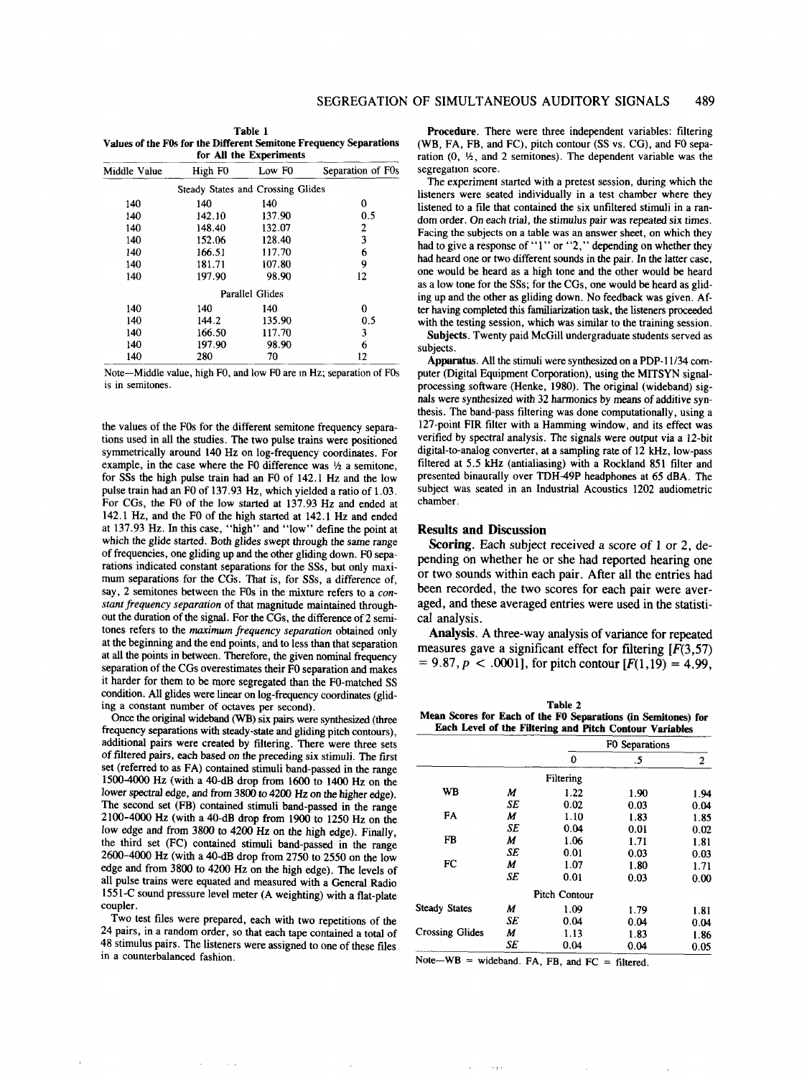| Table 1                                                                                       |                     |                                   |                   |  |  |  |
|-----------------------------------------------------------------------------------------------|---------------------|-----------------------------------|-------------------|--|--|--|
| Values of the F0s for the Different Semitone Frequency Separations<br>for All the Experiments |                     |                                   |                   |  |  |  |
| Middle Value                                                                                  | High F <sub>0</sub> | Low F <sub>0</sub>                | Separation of F0s |  |  |  |
|                                                                                               |                     | Steady States and Crossing Glides |                   |  |  |  |
| 140                                                                                           | 140                 | 140<br>0                          |                   |  |  |  |
| 140                                                                                           | 142.10              | 137.90                            | 0.5               |  |  |  |
| 140                                                                                           | 148.40              | 132.07                            | 2                 |  |  |  |
| 140                                                                                           | 152.06              | 128.40                            | 3                 |  |  |  |
| 140                                                                                           | 166.51              | 117.70                            | 6                 |  |  |  |
| 140                                                                                           | 181.71              | 107.80                            | 9                 |  |  |  |
| 140                                                                                           | 197.90              | 98.90                             | 12                |  |  |  |
|                                                                                               |                     | Parallel Glides                   |                   |  |  |  |
| 140                                                                                           | 140                 | 140                               | 0                 |  |  |  |
| 140                                                                                           | 144.2               | 135.90                            | 0.5               |  |  |  |
| 140                                                                                           | 166.50              | 117.70                            | 3                 |  |  |  |
| 140                                                                                           | 197.90              | 98.90                             | 6                 |  |  |  |
| 140                                                                                           | 280                 | 70                                | 12                |  |  |  |

Note-Middle value, high F0, and low F0 are in Hz; separation of F0s is in semitones.

the values of the F0s for the different semitone frequency separations used in all the studies. The two pulse trains were positioned symmetrically around 140 Hz on log-frequency coordinates. For example, in the case where the F0 difference was  $\frac{1}{2}$  a semitone, for SSs the high pulse train had an F0 of 142.1 Hz and the low pulse train had an F0 of 137.93 Hz, which yielded a ratio of 1.03. For CGs, the F0 of the low started at 137.93 Hz and ended at 142.1 Hz, and the F0 of the high started at 142.1 Hz and ended at 137.93 Hz. In this case, "high" and "low" define the point at which the glide started. *Both* glides swept through the same range of frequencies, one gliding up and the other gliding down. F0 separations indicated constant separations for the SSs, but only maximum separations for the CGs. That is, for SSs, a difference of, say, 2 semitones between the F0s in the mixture refers to a *con*stant frequency separation of that magnitude maintained throughout the duration of the signal. For the CGs, the difference of 2 semitones refers to the *maximum frequency separation* obtained only at the beginning and the end points, and to less than that separation at all the points in between. Therefore, the given nominal frequency separation of the CGs overestimates their F0 separation and makes it harder for them to be more segregated than the F0-matched SS condition, All glides were linear on log-frequency coordinates (gliding a constant number of octaves per second).

Once the original wideband (WB) six pairs were synthesized (three frequency separations with steady-state and gliding pitch contours), additional pairs were created by filtering. There were three sets of filtered pairs, each based on the preceding six stimuli. The first set (referred to as FA) contained stimuli band-passed in the range 1500-4000 Hz (with a 40-dB drop from 1600 to 1400 Hz on the lower spectral edge, and from 3800 to 4200 Hz on the higher edge). The second set (FB) contained stimuli band-passed in the range 2100-4000 Hz (with a 40-dB drop from 1900 to 1250 Hz on the low edge and from 3800 to 4200 Hz on the high edge). Finally, the third set (FC) contained stimuli band-passed in the range 2600-4000 Hz (with a 40-dB drop from 2750 to 2550 on the low edge and from 3800 to 4200 Hz on the high edge). The levels of all pulse trains were equated and measured with a General Radio 1551-C sound pressure level meter (A weighting) with a flat-plate coupler.

Two test files were prepared, each with two repetitions of the 24 pairs, in a random order, so that each tape contained a total of 48 stimulus pairs. The listeners were assigned to one of these files in a counterbalanced fashion.

 $\sim$   $\sim$ 

**Procedure.** There were three independent variables: filtering (WB, FA, FB, and FC), pitch contour (SS vs. CG), and F0 separation  $(0, \frac{1}{2})$ , and 2 semitones). The dependent variable was the segregation score.

The experiment started with a pretest session, during which the listeners were seated individually in a test chamber where they listened to a file that contained the six unfiltered stimuli in a random order. On each trial, the stimulus pair was repeated six times. Facing the subjects on a table was an answer sheet, on which they had to give a response of "l" or "2," depending on whether they had heard one or two different sounds in the pair. In the latter case, one would be heard as a high tone and the other would be heard as a low tone for the SSs; for the CGs, one would be heard as gliding up and the other as gliding down. No feedback was given. After having completed this familiarization task, the listeners proceeded with the testing session, which was similar to the training session.

Subjects. Twenty paid McGill undergraduate students served as subjects.

Apparatus. All the stimuli were synthesized on a PDP-11/34 computer (Digital Equipment Corporation), using the MITSYN signalprocessing software (Henke, 1980). The original (wideband) signals were synthesized with 32 harmonics by means of additive synthesis. The band-pass filtering was done computationally, using a 127-point FIR filter with a Hamming window, and its effect was verified by spectral analysis. The signals were output via a 12-bit digital-to-analog converter, at a sampling rate of 12 kHz, low-pass filtered at 5.5 kHz (antialiasing) with a Rockland 851 filter and presented binaurally over TDH-49P headphones at 65 dBA. The subject was seated in an Industrial Acoustics 1202 audiometric chamber.

### **Results and Discussion**

Scoring. Each subject received a score of 1 or 2, depending on whether he or she had reported hearing one or two sounds within each pair. After all the entries had been recorded, the two scores for each pair were averaged, and these averaged entries were used in the statistical analysis.

Analysis. A three-way analysis of variance for repeated measures gave a significant effect for filtering  $[F(3,57)]$  $= 9.87, p < .0001$ , for pitch contour  $[F(1,19) = 4.99]$ ,

**Table** 2 **Mean Scores for Each of the F0 Separations** (in Semitones) **for** Each **Level of the Filtering and Pitch Contour** Variables

|                        |    |                      | F0 Separations |      |  |
|------------------------|----|----------------------|----------------|------|--|
|                        |    | 0                    | .5             | 2    |  |
|                        |    | Filtering            |                |      |  |
| <b>WB</b>              | М  | 1.22                 | 1.90           | 1.94 |  |
|                        | SE | 0.02                 | 0.03           | 0.04 |  |
| FA                     | M  | 1.10                 | 1.83           | 1.85 |  |
|                        | SE | 0.04                 | 0.01           | 0.02 |  |
| <b>FB</b>              | М  | 1.06                 | 1.71           | 1.81 |  |
|                        | SE | 0.01                 | 0.03           | 0.03 |  |
| FC                     | М  | 1.07                 | 1.80           | 1.71 |  |
|                        | SE | 0.01                 | 0.03           | 0.00 |  |
|                        |    | <b>Pitch Contour</b> |                |      |  |
| <b>Steady States</b>   | M  | 1.09                 | 1.79           | 1.81 |  |
|                        | SE | 0.04                 | 0.04           | 0.04 |  |
| <b>Crossing Glides</b> | M  | 1.13                 | 1.83           | 1.86 |  |
|                        | SE | 0.04                 | 0.04           | 0.05 |  |

Note-WB = wideband. FA, FB, and  $FC$  = filtered,

 $\sim 1$  .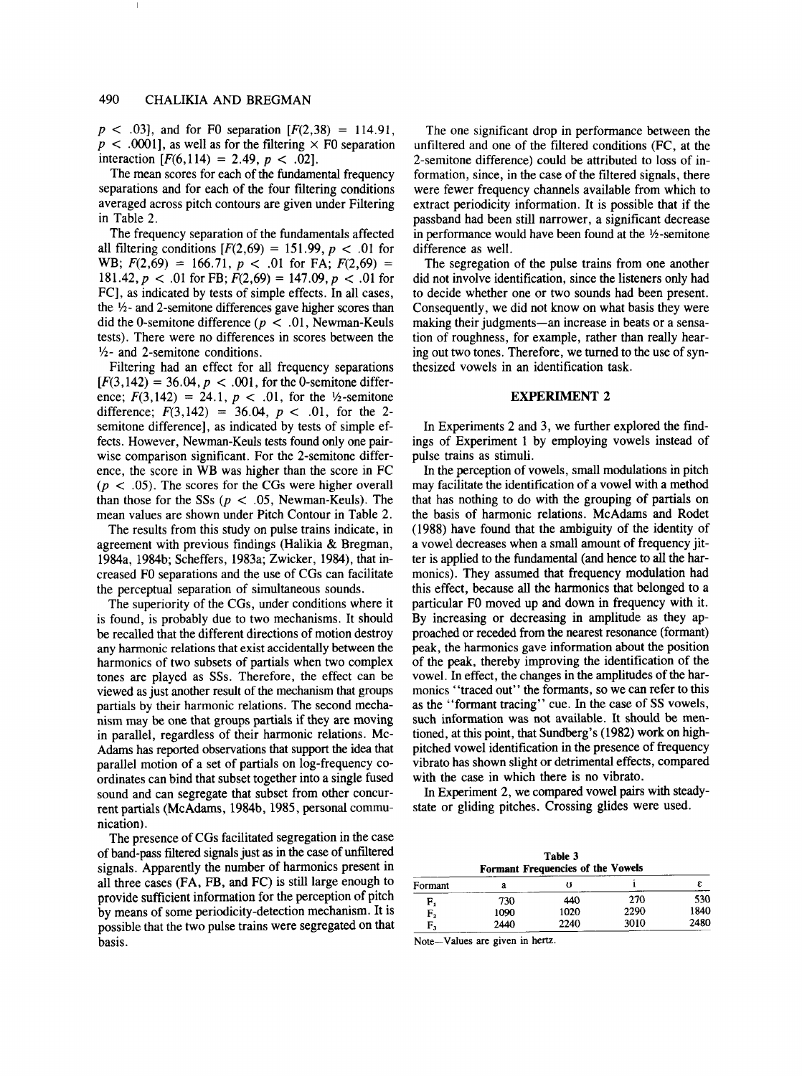$p < .03$ ], and for F0 separation  $[F(2,38) = 114.91]$ ,  $p < .0001$ , as well as for the filtering  $\times$  F0 separation interaction  $[F(6,114) = 2.49, p < .02]$ .

The mean scores for each of the fundamental frequency separations and for each of the four filtering conditions averaged across pitch contours are given under Filtering in Table 2.

The frequency separation of the fundamentals affected all filtering conditions  $[F(2,69) = 151.99, p < .01$  for WB;  $F(2,69) = 166.71$ ,  $p < .01$  for FA;  $F(2,69) =$ 181.42,  $p < .01$  for FB;  $F(2,69) = 147.09$ ,  $p < .01$  for FC], as indicated by tests of simple effects. In all cases, the  $\frac{1}{2}$ - and 2-semitone differences gave higher scores than did the 0-semitone difference ( $p < .01$ , Newman-Keuls tests). There were no differences in scores between the  $\frac{1}{2}$ - and 2-semitone conditions.

Filtering had an effect for all frequency separations  $[F(3, 142) = 36.04, p < .001$ , for the 0-semitone difference;  $F(3,142) = 24.1$ ,  $p < .01$ , for the 1/2-semitone difference;  $F(3,142) = 36.04$ ,  $p < .01$ , for the 2semitone difference], as indicated by tests of simple effects. However, Newman-Keuls tests found only one pairwise comparison significant. For the 2-semitone difference, the score in WB was higher than the score in FC  $(p < .05)$ . The scores for the CGs were higher overall than those for the SSs ( $p < .05$ , Newman-Keuls). The mean values are shown under Pitch Contour in Table 2.

The results from this study on pulse trains indicate, in agreement with previous findings (Halikia & Bregman, 1984a, 1984b; Scheffers, 1983a; Zwicker, 1984), that increased F0 separations and the use of CGs can facilitate the perceptual separation of simultaneous sounds.

The superiority of the CGs, under conditions where it is found, is probably due to two mechanisms. It should be recalled that the different directions of motion destroy any harmonic relations that exist accidentally between the harmonics of two subsets of partials when two complex tones are played as SSs. Therefore, the effect can be viewed as just another result of the mechanism that groups partials by their harmonic relations. The second mechanism may be one that groups partials if they are moving in parallel, regardless of their harmonic relations. Mc-Adams has reported observations that support the idea that parallel motion of a set of partials on log-frequency coordinates can bind that subset together into a single fused sound and can segregate that subset from other concurrent partials (McAdams, 1984b, 1985, personal communication).

The presence of CGs facilitated segregation in the case of band-pass filtered signals just as in the case of unfiltered signals. Apparently the number of harmonics present in all three cases (FA, FB, and FC) is still large enough to  $\overline{F}$ provide sufficient information for the perception of pitch by means of some periodicity-detection mechanism. It is possible that the two pulse trains were segregated on that basis.

The one significant drop in performance between the unfiltered and one of the filtered conditions (FC, at the 2-semitone difference) could be attributed to loss of information, since, in the case of the filtered signals, there were fewer frequency channels available from which to extract periodicity information. It is possible that if the passband had been still narrower, a significant decrease in performance would have been found at the  $\frac{1}{2}$ -semitone difference as well.

The segregation of the pulse trains from one another did not involve identification, since the listeners only had to decide whether one or two sounds had been present. Consequently, we did not know on what basis they were making their judgments--an increase in beats or a sensation of roughness, for example, rather than really hearing out two tones. Therefore, we turned to the use of synthesized vowels in an identification task.

# **EXPERIMENT 2**

In Experiments 2 and 3, we further explored the findings of Experiment 1 by employing vowels instead of pulse trains as stimuli.

In the perception of vowels, small modulations in pitch may facilitate the identification of a vowel with a method that has nothing to do with the grouping of partials on the basis of harmonic relations. McAdams and Rodet (1988) have found that the ambiguity of the identity of a vowel decreases when a small amount of frequency jitter is applied to the fundamental (and hence to all the harmonics). They assumed that frequency modulation had this effect, because all the harmonics that belonged to a particular F0 moved up and down in frequency with it. By increasing or decreasing in amplitude as they approached or receded from the nearest resonance (formant) peak, the harmonics gave information about the position of the peak, thereby improving the identification of the vowel. In effect, the changes in the amplitudes of the harmonics "traced out" the formants, so we can refer to this as the "formant tracing" cue. In the case of SS vowels, such information was not available. It should be mentioned, at this point, that Sundberg's (1982) work on highpitched vowel identification in the presence of frequency vibrato has shown slight or detrimental effects, compared with the case in which there is no vibrato.

In Experiment 2, we compared vowel pairs with steadystate or gliding pitches. Crossing glides were used.

**Table** 3 **Formant Frequencies of the** Vowels

| Formant          | а    |      |      |      |
|------------------|------|------|------|------|
| F,               | 730  | 440  | 270  | 530  |
| $\mathbf{F_{2}}$ | 1090 | 1020 | 2290 | 1840 |
| F,               | 2440 | 2240 | 3010 | 2480 |

Note--Values are given in hertz.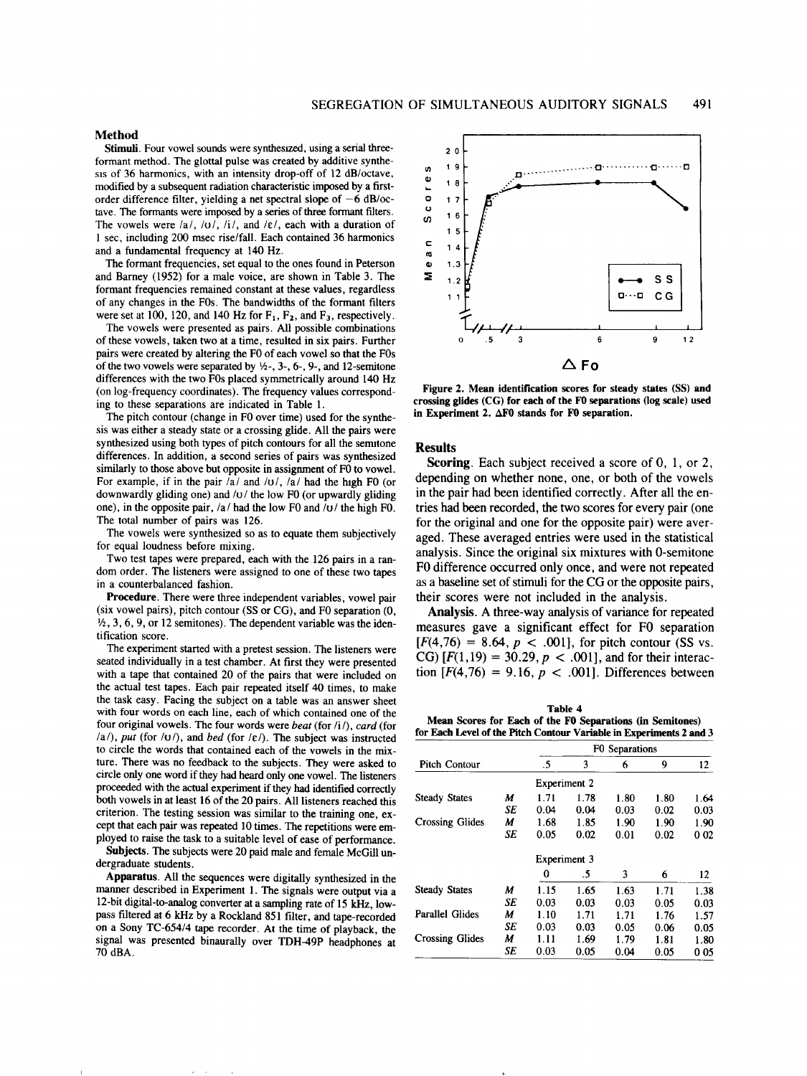#### **Method**

Stimuli. Four vowel sounds were synthesized, using a serial threeformant method. The glottal pulse was created by additive synthesis of 36 harmonics, with an intensity drop-off of 12 dB/octave, modified by a subsequent radiation characteristic imposed by a firstorder difference filter, yielding a net spectral slope of  $-6$  dB/octave. The formants were imposed by a series of three formant filters. The vowels were /a/, /u/, /i/, and / $\varepsilon$ /, each with a duration of 1 sec, including 200 msec rise/fall. Each contained 36 harmonics and a fundamental frequency at 140 Hz.

The formant frequencies, set equal to the ones found in Peterson and Barney (1952) for a male voice, are shown in Table 3. The formant frequencies remained constant at these values, regardless of any changes in the F0s. The bandwidths of the formant filters were set at 100, 120, and 140 Hz for  $F_1$ ,  $F_2$ , and  $F_3$ , respectively.

The vowels were presented as pairs. All possible combinations of these vowels, taken two at a time, resulted in six pairs. Further pairs were created by altering the F0 of each vowel so that the F0s of the two vowels were separated by  $\frac{1}{2}$ -, 3-, 6-, 9-, and 12-semitone differences with the two F0s placed symmetrically around 140 Hz (on log-frequency coordinates). The frequency values corresponding to these separations are indicated in Table 1.

The pitch contour (change in F0 over time) used for the synthesis was either a steady state or a crossing glide. All the pairs were synthesized using both types of pitch contours for all the semitone differences. In addition, a second series of pairs was synthesized similarly to those above but opposite in assignment of F0 to vowel. For example, if in the pair  $/a/$  and  $/b/$ ,  $/a/$  had the high F0 (or downwardly gliding one) and  $\overline{U}$  the low F0 (or upwardly gliding one), in the opposite pair,  $/a/$  had the low F0 and  $/$ u $/$  the high F0. The total number of pairs was 126.

The vowels were synthesized so as to equate them subjectively for equal loudness before mixing.

Two test tapes were prepared, each with the 126 pairs in a random order. The listeners were assigned to one of these two tapes in a counterbalanced fashion.

**Procedure.** There were three independent variables, vowel pair (six vowel pairs), pitch contour (SS or CG), and F0 separation (0,  $\frac{1}{2}$ , 3, 6, 9, or 12 semitones). The dependent variable was the identification score.

The experiment started with a pretest session. The listeners were seated individually in a test chamber. At first they were presented with a tape that contained 20 of the pairs that were included on the actual test tapes. Each pair repeated itself 40 times, to make the task easy. Facing the subject on a table was an answer sheet with four words on each line, each of which contained one of the four original vowels. The four words were *beat* (for/i/), *card* (for  $(a)$ , put (for  $\langle v \rangle$ ), and *bed* (for  $\langle \varepsilon \rangle$ ). The subject was instructed to circle the words that contained each of the vowels in the mixture. There was no feedback to the subjects. They were asked to circle only one word if they had heard only one vowel. The listeners proceeded with the actual experiment if they had identified correctly both vowels in at least 16 of the 20 pairs. All listeners reached this criterion. The testing session was similar to the training one, except that each pair was repeated 10 times. The repetitions were employed to raise the task to a suitable level of ease of performance.

Subjects. The subjects were 20 paid male and female McGill undergraduate students.

**Apparatus.** All the sequences were digitally synthesized in the manner described in Experiment 1. The signals were output via a 12-bit digital-to-analog converter at a sampling rate of 15 kHz, lowpass filtered at 6 kHz by a Rockland 851 filter, and tape-recorded on a Sony TC-654/4 tape recorder. At the time of playback, the signal was presented binaurally over TDH-49P headphones at 70 dBA.



**Figure 2. Mean identification scores for steady states (SS) and crossing glides (CG) for each of the F0 separations (log scale) used in Experiment 2. AF0 stands for F0 separation.**

#### **Results**

Scoring. Each subject received a score of 0, 1, or 2, depending on whether none, one, or both of the vowels in the pair had been identified correctly. After all the entries had been recorded, the two scores for every pair (one for the original and one for the opposite pair) were averaged. These averaged entries were used in the statistical analysis. Since the original six mixtures with 0-semitone F0 difference occurred only once, and were not repeated as a baseline set of stimuli for the CG or the opposite pairs, their scores were not included in the analysis.

Analysis. A three-way analysis of variance for repeated measures gave a significant effect for F0 separation  $[F(4,76) = 8.64, p < .001]$ , for pitch contour (SS vs. CG)  $[F(1,19) = 30.29, p < .001]$ , and for their interaction  $[F(4,76) = 9.16, p < .001]$ . Differences between

**Table 4 Mean Scores for Each of the F0 Separations (in Semitones) for Each Level of the Pitch Contour Variable in Experiments 2 and 3**

|    | F0 Separations |      |                                            |      |      |
|----|----------------|------|--------------------------------------------|------|------|
|    | .5             | 3    | 6                                          | 9    | 12   |
|    |                |      |                                            |      |      |
| м  | 1.71           | 1.78 | 1.80                                       | 1.80 | 1.64 |
| SE | 0.04           | 0.04 | 0.03                                       | 0.02 | 0.03 |
| M  | 1.68           | 1.85 | 1.90                                       | 1.90 | 1.90 |
| SE | 0.05           | 0.02 | 0.01                                       | 0.02 | 002  |
|    |                |      |                                            |      |      |
|    | 0              | .5   | 3                                          | 6    | 12   |
| M  | 1.15           | 1.65 | 1.63                                       | 1.71 | 1.38 |
| SE | 0.03           | 0.03 | 0.03                                       | 0.05 | 0.03 |
| M  | 1.10           | 1.71 | 1.71                                       | 1.76 | 1.57 |
| SE | 0.03           | 0.03 | 0.05                                       | 0.06 | 0.05 |
| м  | 1.11           | 1.69 | 1.79                                       | 1.81 | 1.80 |
| SE | 0.03           | 0.05 | 0.04                                       | 0.05 | 0 05 |
|    |                |      | <b>Experiment 2</b><br><b>Experiment 3</b> |      |      |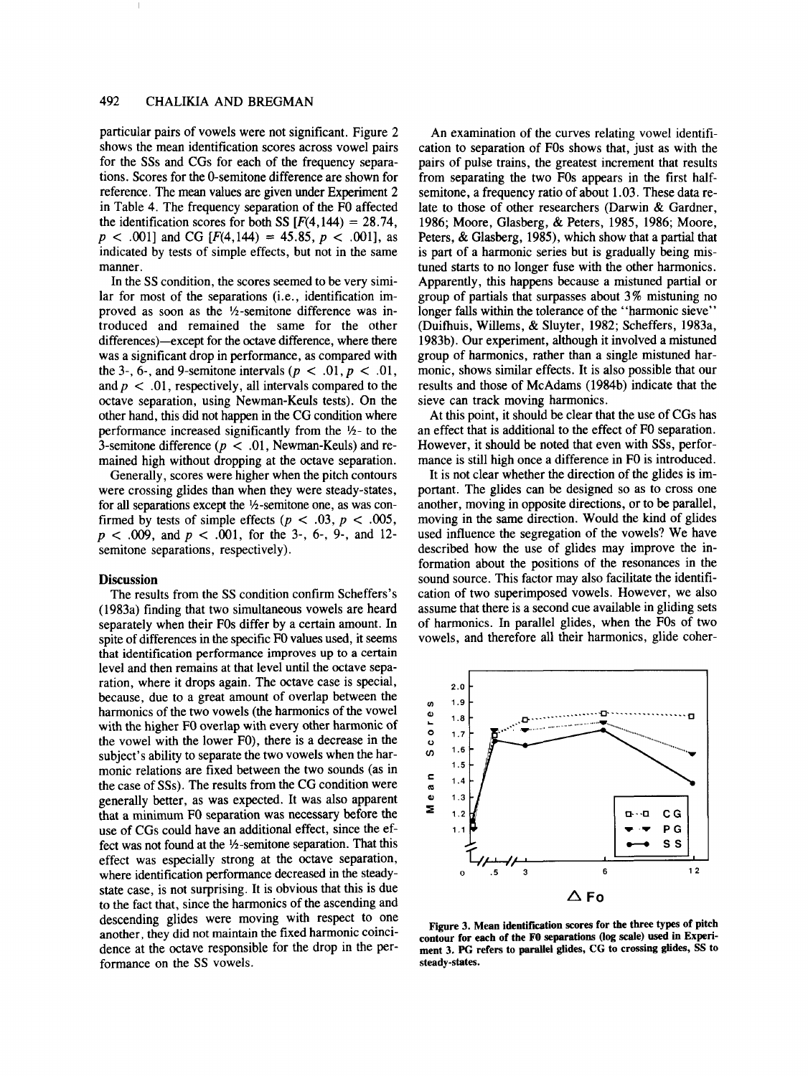particular pairs of vowels were not significant. Figure 2 shows the mean identification scores across vowel pairs for the SSs and CGs for each of the frequency separations. Scores for the 0-semitone difference are shown for reference. The mean values are given under Experiment 2 in Table 4. The frequency separation of the F0 affected the identification scores for both SS  $[F(4,144) = 28.74]$ ,  $p < .001$  and CG [F(4,144) = 45.85,  $p < .001$ ], as indicated by tests of simple effects, but not in the same manner.

In the SS condition, the scores seemed to be very similar for most of the separations (i.e., identification improved as soon as the  $1/2$ -semitone difference was introduced and remained the same for the other differences)—except for the octave difference, where there was a significant drop in performance, as compared with the 3-, 6-, and 9-semitone intervals ( $p < .01$ ,  $p < .01$ , and  $p < .01$ , respectively, all intervals compared to the octave separation, using Newman-Keuls tests). On the other hand, this did not happen in the CG condition where performance increased significantly from the  $1/2$ - to the 3-semitone difference ( $p < .01$ , Newman-Keuls) and remained high without dropping at the octave separation.

Generally, scores were higher when the pitch contours were crossing glides than when they were steady-states, for all separations except the  $\frac{1}{2}$ -semitone one, as was confirmed by tests of simple effects ( $p < .03$ ,  $p < .005$ ,  $p < .009$ , and  $p < .001$ , for the 3-, 6-, 9-, and 12semitone separations, respectively).

# **Discussion**

The results from the SS condition confirm Scheffers's (1983a) finding that two simultaneous vowels are heard separately when their F0s differ by a certain amount. In spite of differences in the specific F0 values used, it seems that identification performance improves up to a certain level and then remains at that level until the octave separation, where it drops again. The octave case is special, because, due to a great amount of overlap between the harmonics of the two vowels (the harmonics of the vowel with the higher F0 overlap with every other harmonic of the vowel with the lower F0), there is a decrease in the subject's ability to separate the two vowels when the harmonic relations are fixed between the two sounds (as in the case of SSs). The results from the CG condition were generally better, as was expected. It was also apparent that a minimum F0 separation was necessary before the use of CGs could have an additional effect, since the effect was not found at the 1/2-semitone separation. That this effect was especially strong at the octave separation, where identification performance decreased in the steadystate case, is not surprising. It is obvious that this is due to the fact that, since the harmonics of the ascending and descending glides were moving with respect to one another, they did not maintain the fixed harmonic coincidence at the octave responsible for the drop in the performance on the SS vowels.

An examination of the curves relating vowel identification to separation of F0s shows that, just as with the pairs of pulse trains, the greatest increment that results from separating the two F0s appears in the first halfsemitone, a frequency ratio of about 1.03. These data relate to those of other researchers (Darwin & Gardner, 1986; Moore, Glasberg, & Peters, 1985, 1986; Moore, Peters, & Glasberg, 1985), which show that a partial that is part of a harmonic series but is gradually being mistuned starts to no longer fuse with the other harmonics. Apparently, this happens because a mistuned partial or group of partials that surpasses about 3 % mistuning no longer falls within the tolerance of the "harmonic sieve" (Duifhuis, Willems, & Sluyter, 1982; Scheffers, 1983a, 1983b). Our experiment, although it involved a mistuned group of harmonics, rather than a single mistuned harmonic, shows similar effects. It is also possible that our results and those of McAdams (1984b) indicate that the sieve can track moving harmonics.

At this point, it should be clear that the use of CGs has an effect that is additional to the effect of F0 separation. However, it should be noted that even with SSs, performance is still high once a difference in F0 is introduced.

It is not clear whether the direction of the glides is important. The glides can be designed so as to cross one another, moving in opposite directions, or to be parallel, moving in the same direction. Would the kind of glides used influence the segregation of the vowels? We have described how the use of glides may improve the information about the positions of the resonances in the sound source. This factor may also facilitate the identification of two superimposed vowels. However, we also assume that there is a second cue available in gliding sets of harmonics. In parallel glides, when the F0s of two vowels, and therefore all their harmonics, glide coher-



Figure 3. **Mean identification scores for the three types of pitch contour for each of the F0 separations** (log scale) used in Experiment 3. PG **refers to** parallel glides, CG to crossing glides, SS **to** steady-states.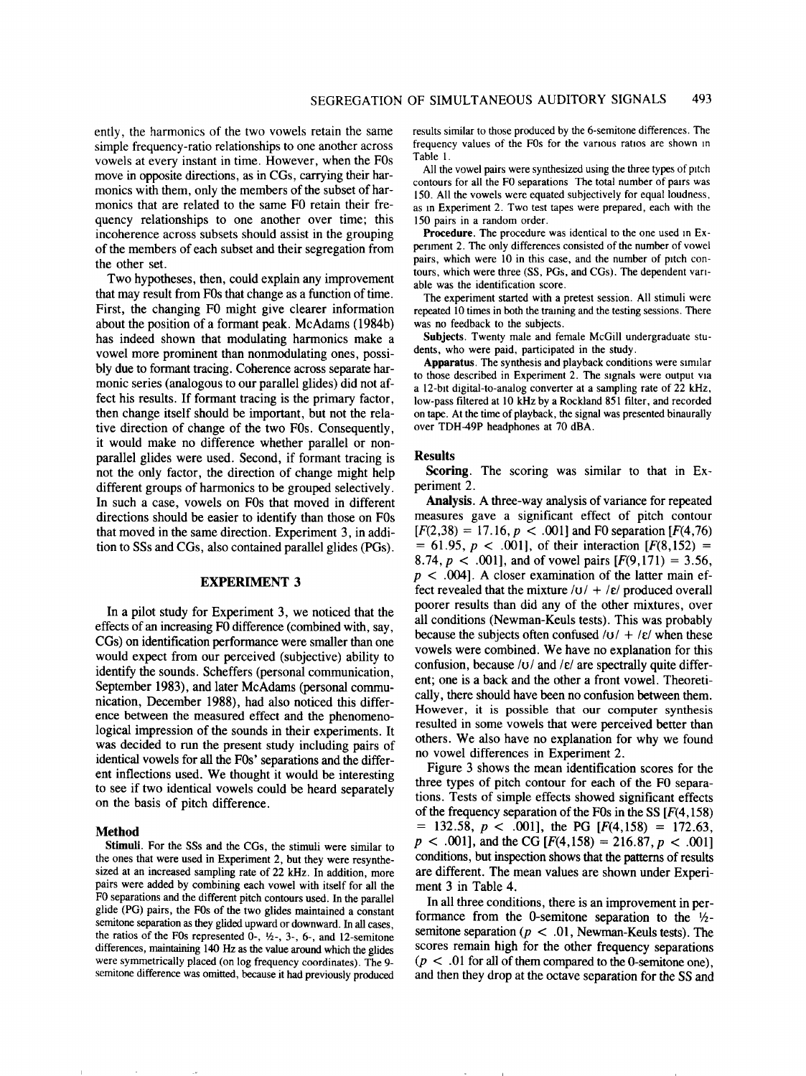ently, the harmonics of the two vowels retain the same simple frequency-ratio relationships to one another across vowels at every instant in time. However, when the F0s move in opposite directions, as in CGs, carrying their harmonics with them, only the members of the subset of harmonics that are related to the same F0 retain their frequency relationships to one another over time; this incoherence across subsets should assist in the grouping of the members of each subset and their segregation from the other set.

Two hypotheses, then, could explain any improvement that may result from F0s that change as a function of time. First, the changing F0 might give clearer information about the position of a formant peak. McAdams (1984b) has indeed shown that modulating harmonics make a vowel more prominent than nonmodulating ones, possibly due to formant tracing. Coherence across separate harmonic series (analogous to our parallel glides) did not affect his results. If formant tracing is the primary factor, then change itself should be important, but not the relative direction of change of the two F0s. Consequently, it would make no difference whether parallel or nonparallel glides were used. Second, if formant tracing is not the only factor, the direction of change might help different groups of harmonics to be grouped selectively. In such a case, vowels on F0s that moved in different directions should be easier to identify than those on F0s that moved in the same direction. Experiment 3, in addition to SSs and CGs, also contained parallel glides (PGs).

# **EXPERIMENT 3**

In a pilot study for Experiment 3, we noticed that the effects of an increasing F0 difference (combined with, say, CGs) on identification performance were smaller than one would expect from our perceived (subjective) ability to identify the sounds. Scheffers (personal communication, September 1983), and later McAdams (personal communication, December 1988), had also noticed this difference between the measured effect and the phenomenological impression of the sounds in their experiments. It was decided to run the present study including pairs of identical vowels for all the F0s' separations and the different inflections used. We thought it would be interesting to see if two identical vowels could be heard separately on the basis of pitch difference.

#### **Method**

Stimuli. For the SSs and the CGs, the stimuli were similar to the ones that were used in Experiment 2, but they were resynthesized at an increased sampling rate of 22 kHz. In addition, more pairs were added by combining each vowel with itself for all the F0 separations and the different pitch contours used. In the parallel glide (PG) pairs, the F0s of the two glides maintained a constant semitone separation as they glided upward or downward. In all cases, the ratios of the F0s represented  $0-$ ,  $\frac{1}{2}$ -,  $3-$ ,  $6-$ , and 12-semitone differences, maintaining 140 Hz as the value around which the glides were symmetrically placed (on log frequency coordinates). The 9 semitone difference was omitted, because it had previously produced results similar to those produced by the 6-semitone differences. The frequency values of the F0s for the various ratios are shown in Table 1.

All the vowel pairs were synthesized using the three types of pitch contours for all the F0 separations The total number of pairs was 150. All the vowels were equated subjectively for equal loudness, as m Experiment 2. Two test tapes were prepared, each with the 150 pairs in a random order.

Procedure. The procedure was identical to the one used in Experiment 2. The only differences consisted of the number of vowel pairs, which were 10 in this case, and the number of pitch contours, which were three (SS, PGs, and CGs). The dependent vanable was the identification score.

The experiment started with a pretest session. All stimuli were repeated 10 times in both the training and the testing sessions. There was no feedback to the subjects.

**Subjects.** Twenty male and female McGill undergraduate students, who were paid, participated in the study.

Apparatus. The synthesis and playback conditions were similar to those described in Experiment 2. The signals were output via a 12-bit digital-to-analog converter at a sampling rate of 22 kHz, low-pass filtered at 10 kHz by a Rockland 851 filter, and recorded on tape. At the time of playback, the signal was presented binaurally over TDH-49P headphones at 70 dBA.

# **Results**

**Scoring.** The scoring was similar to that in Experiment 2.

Analysis. A three-way analysis of variance for repeated measures gave a significant effect of pitch contour  $[F(2,38) = 17.16, p < .001]$  and F0 separation  $[F(4,76)]$  $= 61.95, p < .001$ , of their interaction  $[F(8, 152) =$ 8.74,  $p < .001$ ], and of vowel pairs  $[F(9,171) = 3.56]$ ,  $p < .004$ ]. A closer examination of the latter main effect revealed that the mixture  $\sqrt{U}$  +  $\sqrt{\epsilon}$  produced overall poorer results than did any of the other mixtures, over all conditions (Newman-Keuls tests). This was probably because the subjects often confused  $\sqrt{U}$  +  $\sqrt{\epsilon}$  when these vowels were combined. We have no explanation for this confusion, because / $U$  and / $\varepsilon$ / are spectrally quite different; one is a back and the other a front vowel. Theoretically, there should have been no confusion between them. However, it is possible that our computer synthesis resulted in some vowels that were perceived better than others. We also have no explanation for why we found no vowel differences in Experiment 2.

Figure 3 shows the mean identification scores for the three types of pitch contour for each of the F0 separations. Tests of simple effects showed significant effects of the frequency separation of the F0s in the SS  $[F(4, 158)]$  $=$  132.58,  $p < .001$ ], the PG [ $F(4,158) = 172.63$ ,  $p < .001$ ], and the CG [ $F(4,158) = 216.87, p < .001$ ] conditions, but inspection shows that the patterns of results are different. The mean values are shown under Experiment 3 in Table 4.

In all three conditions, there is an improvement in performance from the 0-semitone separation to the semitone separation ( $p < .01$ , Newman-Keuls tests). The scores remain high for the other frequency separations  $(p < .01$  for all of them compared to the 0-semitone one). and then they drop at the octave separation for the SS and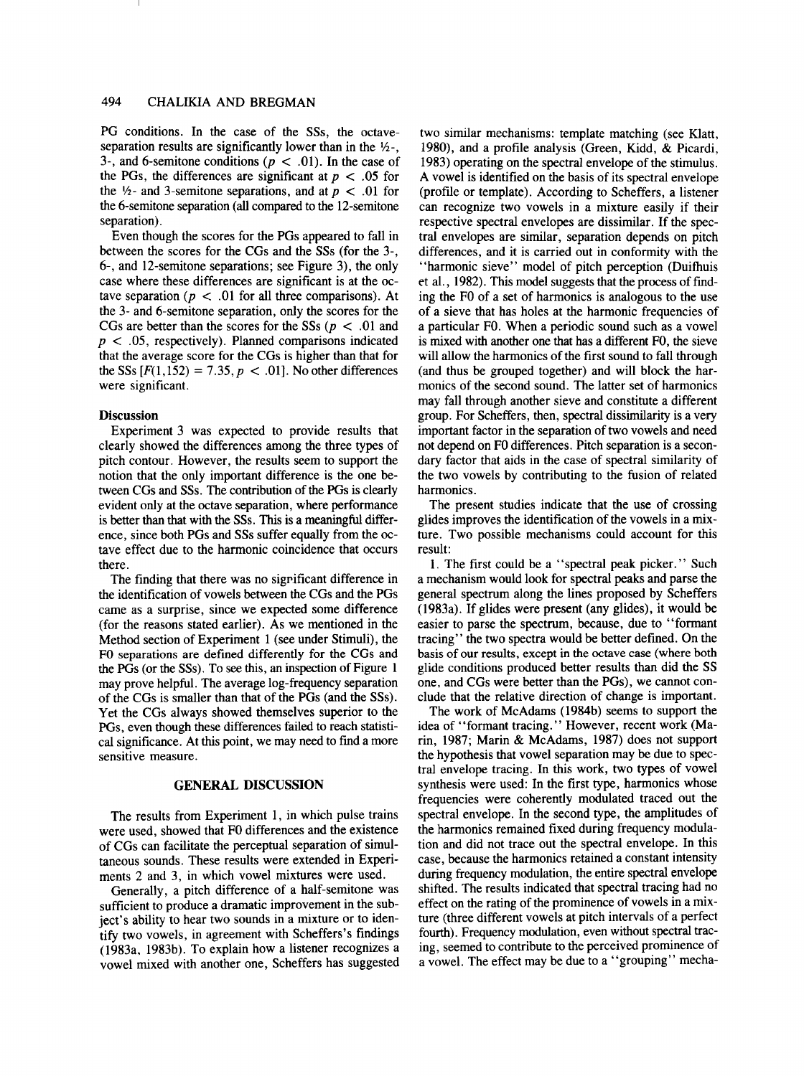PG conditions. In the case of the SSs, the octaveseparation results are significantly lower than in the  $\frac{1}{2}$ . 3-, and 6-semitone conditions ( $p < .01$ ). In the case of the PGs, the differences are significant at  $p < .05$  for the  $\frac{1}{2}$ - and 3-semitone separations, and at  $p < .01$  for the 6-semitone separation (all compared to the 12-semitone separation).

Even though the scores for the PGs appeared to fall in between the scores for the CGs and the SSs (for the 3-, 6-, and 12-semitone separations; see Figure 3), the only case where these differences are significant is at the octave separation ( $p < .01$  for all three comparisons). At the 3- and 6-semitone separation, only the scores for the CGs are better than the scores for the SSs ( $p < .01$  and  $p < .05$ , respectively). Planned comparisons indicated that the average score for the CGs is higher than that for the SSs  $[F(1,152) = 7.35, p < .01]$ . No other differences were significant.

### **Discussion**

Experiment 3 was expected to provide results that clearly showed the differences among the three types of pitch contour. However, the results seem to support the notion that the only important difference is the one between CGs and SSs. The contribution of the PGs is clearly evident only at the octave separation, where performance is better than that with the SSs. This is a meaningful difference, since both PGs and SSs suffer equally from the octave effect due to the harmonic coincidence that occurs there.

The finding that there was no sigpificant difference in the identification of vowels between the CGs and the PGs came as a surprise, since we expected some difference (for the reasons stated earlier). As we mentioned in the Method section of Experiment 1 (see under Stimuli), the F0 separations are defined differently for the CGs and the PGs (or the SSs). To see this, an inspection of Figure 1 may prove helpful. The average log-frequency separation of the CGs is smaller than that of the PGs (and the SSs). Yet the CGs always showed themselves superior to the PGs, even though these differences failed to reach statistical significance. At this point, we may need to find a more sensitive measure.

#### GENERAL DISCUSSION

The results from Experiment 1, in which pulse trains were used, showed that F0 differences and the existence of CGs can facilitate the perceptual separation of simultaneous sounds. These results were extended in Experiments 2 and 3, in which vowel mixtures were used.

Generally, a pitch difference of a half-semitone was sufficient to produce a dramatic improvement in the subject's ability to hear two sounds in a mixture or to identify two vowels, in agreement with Scheffers's findings (1983a, 1983b). To explain how a listener recognizes a vowel mixed with another one, Scheffers has suggested two similar mechanisms: template matching (see Klatt, 1980), and a profile analysis (Green, Kidd, & Picardi, 1983) operating on the spectral envelope of the stimulus. A vowel is identified on the basis of its spectral envelope (profde or template). According to Scheffers, a listener can recognize two vowels in a mixture easily if their respective spectral envelopes are dissimilar. If the spectral envelopes are similar, separation depends on pitch differences, and it is carried out in conformity with the "harmonic sieve" model of pitch perception (Duifhuis et al., 1982). This model suggests that the process of finding the F0 of a set of harmonics is analogous to the use of a sieve that has holes at the harmonic frequencies of a particular F0. When a periodic sound such as a vowel is mixed with another one that has a different F0, the sieve will allow the harmonics of the first sound to fall through (and thus be grouped together) and will block the harmonics of the second sound. The latter set of harmonics may fall through another sieve and constitute a different group. For Scheffers, then, spectral dissimilarity is a very important factor in the separation of two vowels and need not depend on F0 differences. Pitch separation is a secondary factor that aids in the case of spectral similarity of the two vowels by contributing to the fusion of related harmonics.

The present studies indicate that the use of crossing glides improves the identification of the vowels in a mixture. Two possible mechanisms could account for this result:

1. The first could be a "spectral peak picker." Such a mechanism would look for spectral peaks and parse the general spectrum along the lines proposed by Scheffers (1983a). If glides were present (any glides), it would be easier to parse the spectrum, because, due to "formant tracing" the two spectra would be better defined. On the basis of our results, except in the octave case (where both glide conditions produced better results than did the SS one, and CGs were better than the PGs), we cannot conclude that the relative direction of change is important.

The work of McAdams (1984b) seems to support the idea of "formant tracing." However, recent work (Marin, 1987; Marin & McAdams, 1987) does not support the hypothesis that vowel separation may be due to spectral envelope tracing. In this work, two types of vowel synthesis were used: In the first type, harmonics whose frequencies were coherently modulated traced out the spectral envelope. In the second type, the amplitudes of the harmonics remained fixed during frequency modulation and did not trace out the spectral envelope. In this case, because the harmonics retained a constant intensity during frequency modulation, the entire spectral envelope shifted. The results indicated that spectral tracing had no effect on the rating of the prominence of vowels in a mixture (three different vowels at pitch intervals of a perfect fourth). Frequency modulation, even without spectral tracing, seemed to contribute to the perceived prominence of a vowel. The effect may be due to a "grouping" mecha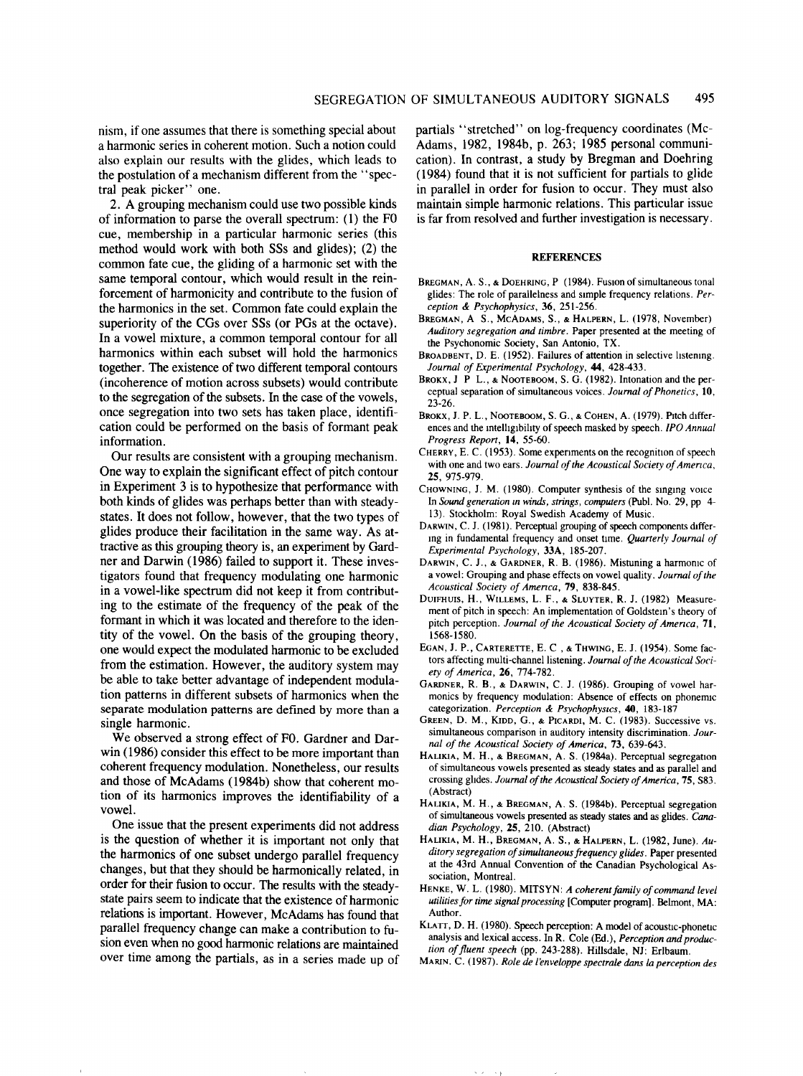nism, if one assumes that there is something special about a harmonic series in coherent motion. Such a notion could also explain our results with the glides, which leads to the postulation of a mechanism different from the "spectral peak picker" one.

2. A grouping mechanism could use two possible kinds of information to parse the overall spectrum: (1) the F0 cue, membership in a particular harmonic series (this method would work with both SSs and glides); (2) the common fate cue, the gliding of a harmonic set with the same temporal contour, which would result in the reinforcement of harmonicity and contribute to the fusion of the harmonics in the set. Common fate could explain the superiority of the CGs over SSs (or PGs at the octave). In a vowel mixture, a common temporal contour for all harmonics within each subset will hold the harmonics together. The existence of two different temporal contours (incoherence of motion across subsets) would contribute to the segregation of the subsets. In the case of the vowels, once segregation into two sets has taken place, identification could be performed on the basis of formant peak information.

Our results are consistent with a grouping mechanism. One way to explain the significant effect of pitch contour in Experiment 3 is to hypothesize that performance with both kinds of glides was perhaps better than with steadystates. It does not follow, however, that the two types of glides produce their facilitation in the same way. As attractive as this grouping theory is, an experiment by Gardner and Darwin (1986) failed to support it. These investigators found that frequency modulating one harmonic in a vowel-like spectrum did not keep it from contributing to the estimate of the frequency of the peak of the formant in which it was located and therefore to the identity of the vowel. On the basis of the grouping theory, one would expect the modulated harmonic to be excluded from the estimation. However, the auditory system may be able to take better advantage of independent modulation patterns in different subsets of harmonics when the separate modulation patterns are defined by more than a single harmonic.

We observed a strong effect of F0. Gardner and Darwin (1986) consider this effect to be more important than coherent frequency modulation. Nonetheless, our results and those of McAdams (1984b) show that coherent motion of its harmonics improves the identifiability of a vowel.

One issue that the present experiments did not address is the question of whether it is important not only that the harmonics of one subset undergo parallel frequency changes, but that they should be harmonically related, in order for their fusion to occur. The results with the steadystate pairs seem to indicate that the existence of harmonic relations is important. However, McAdams has found that parallel frequency change can make a contribution to fusion even when no good harmonic relations are maintained over time among the partials, as in a series made up of

partials "stretched" on log-frequency coordinates (Mc-Adams, 1982, 1984b, p. 263; 1985 personal communication). In contrast, a study by Bregman and Doehring (1984) found that it is not sufficient for partials to glide in parallel in order for fusion to occur. They must also maintain simple harmonic relations. This particular issue is far from resolved and further investigation is necessary.

#### **REFERENCES**

- BREGMAN, A. S., & DOEHRING, P (1984). Fuston of simultaneous tonal glides: The role of parallelness and simple frequency relations. Per*ception & Psychophysics,* 36, 251-256.
- BREGMAN, A S., MCADAMS, S., & HALPERN, L. (1978, November) *Auditory segregation and timbre.* Paper presented at the meeting of the Psychonomic Society, San Antonio, TX.
- BROADBENT, D. E. (1952). Failures of attention in selective listening. *Journal of Experimental Psychology, 44,* 428-433.
- BROKX, J P L., & NOOTEBOOM, S. G. (1982). Intonation and the perceptual separation of simultaneous voices. *Journal of Phonetics,* 10, 23-26.
- BROKX, J. P. L., NOOTEBOOM, S. G., & COHEN, A. (1979). Pitch differences and the intelligibility of speech masked by speech. *IPO Annual Progress Report,* 14, 55-60.
- CHERRY, E. C. (1953). Some experiments on the recognition of speech with one and two ears. *Journal of the Acoustical Society of America,* 25, 975-979.
- CHOWNING, J. M. (1980). Computer synthesis of the singing voice *In Sound generation tn winds, strings, computers* (Publ. No. 29, pp 4- 13). Stockholm: Royal Swedish Academy of Music.
- DARWIN, C. J. (1981). Perceptual grouping of speech components differing in fundamental frequency and onset time. *Quarterly Journal of Experimental Psychology,* 33A, 185-207.
- DARWIN, C. J., & GARDNER, R. B. (1986). Mistuning a harmomc of a vowel: Grouping and phase effects on vowel quality. *Journal of the Acoustical Society of Araertca,* 79, 838-845.
- DUIFHUIS, H., WILLEMS, L. F., & SLUYTER, R. J. (1982) Measurement of pitch in speech: An implementation of Goldstein's theory of pitch perception. *Journal of the Acoustical Society of Amenca,* 71, 1568-1580.
- EGAN, J. P., CARTERETTE, E. C , & THWING, E. J. (1954). Some factors affecting multi-channel listening. *Journal of the Acoustical Society of America,* 26, 774-782.
- GARDNER, R. B., & DARWIN, C. J. (1986). Grouping of vowel harmonics by frequency modulation: Absence of effects on phonermc categorization. *Perception & Psychophysics*, 40, 183-187
- GREEN, D. M., KIDD, G., & PICARDI, M. C. (1983). Successive vs. simultaneous comparison in auditory intensity discrimination. *Journal of the Acoustical Society of America,* 73, 639-643.
- HALIKIA, M. H., & BREGMAN, A. S. (1984a). Perceptual segregation of simultaneous vowels presented as steady states and as parallel and crossing glides. *Journal of the Acoustical Society of America*, 75, S83. (Abstract)
- HALIKIA, M. H., & BREGMAN, A. S. (1984b). Perceptual segregation of simultaneous vowels presented as steady states and as glides. Cana*dian Psychology,* 25, 210. (Abstract)
- HALIKIA, M. H., BREGMAN, A. S., & HALPERN, L. (1982, June). *Auditory segregation of simultaneous frequency glides.* Paper presented at the 43rd Annual Convention of the Canadian Psychological Association, Montreal.
- HENKE, W. L. (1980). MITSYN: *A coherent family of command level utilities for time signal processing* [Computer program]. Belmont, MA: Author.
- KLATT, D. H. (1980). Speech perception: A model of acoustic-phonetic analysis and lexical access. In R. Cole (Ed.), *Perception andproduction of fluent speech* (pp. 243-288). Hillsdale, NJ: Erlbaum.
- MARIN. C. (1987). *Role de l'enveloppe spectrale dans la perception des*